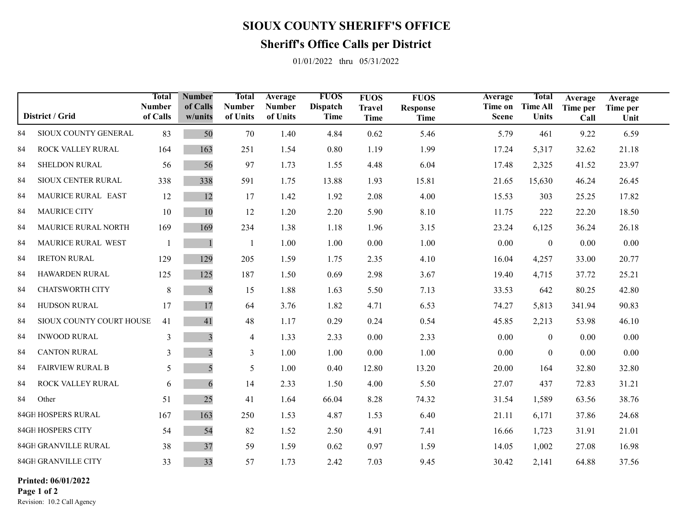## **SIOUX COUNTY SHERIFF'S OFFICE**

## **Sheriff's Office Calls per District**

01/01/2022 thru 05/31/2022

| District / Grid    |                          | Total<br><b>Number</b><br>of Calls | <b>Number</b><br>of Calls<br>w/units | <b>Total</b><br><b>Number</b><br>of Units | Average<br><b>Number</b><br>of Units | <b>FUOS</b><br><b>Dispatch</b><br>Time | <b>FUOS</b><br><b>Travel</b><br><b>Time</b> | <b>FUOS</b><br><b>Response</b><br><b>Time</b> | Average<br>Time on<br><b>Scene</b> | Total<br><b>Time All</b><br><b>Units</b> | Average<br>Time per<br>Call | Average<br>Time per<br>Unit |  |
|--------------------|--------------------------|------------------------------------|--------------------------------------|-------------------------------------------|--------------------------------------|----------------------------------------|---------------------------------------------|-----------------------------------------------|------------------------------------|------------------------------------------|-----------------------------|-----------------------------|--|
| 84                 | SIOUX COUNTY GENERAL     | 83                                 | 50                                   | 70                                        | 1.40                                 | 4.84                                   | 0.62                                        | 5.46                                          | 5.79                               | 461                                      | 9.22                        | 6.59                        |  |
| 84                 | ROCK VALLEY RURAL        | 164                                | 163                                  | 251                                       | 1.54                                 | 0.80                                   | 1.19                                        | 1.99                                          | 17.24                              | 5,317                                    | 32.62                       | 21.18                       |  |
| 84                 | <b>SHELDON RURAL</b>     | 56                                 | 56                                   | 97                                        | 1.73                                 | 1.55                                   | 4.48                                        | 6.04                                          | 17.48                              | 2,325                                    | 41.52                       | 23.97                       |  |
| 84                 | SIOUX CENTER RURAL       | 338                                | 338                                  | 591                                       | 1.75                                 | 13.88                                  | 1.93                                        | 15.81                                         | 21.65                              | 15,630                                   | 46.24                       | 26.45                       |  |
| 84                 | MAURICE RURAL EAST       | 12                                 | 12                                   | 17                                        | 1.42                                 | 1.92                                   | 2.08                                        | 4.00                                          | 15.53                              | 303                                      | 25.25                       | 17.82                       |  |
| 84                 | <b>MAURICE CITY</b>      | 10                                 | 10                                   | 12                                        | 1.20                                 | 2.20                                   | 5.90                                        | 8.10                                          | 11.75                              | 222                                      | 22.20                       | 18.50                       |  |
| 84                 | MAURICE RURAL NORTH      | 169                                | 169                                  | 234                                       | 1.38                                 | 1.18                                   | 1.96                                        | 3.15                                          | 23.24                              | 6,125                                    | 36.24                       | 26.18                       |  |
| 84                 | MAURICE RURAL WEST       | $\overline{\phantom{0}}$           |                                      | $\overline{1}$                            | 1.00                                 | 1.00                                   | 0.00                                        | 1.00                                          | 0.00                               | $\boldsymbol{0}$                         | 0.00                        | 0.00                        |  |
| 84                 | <b>IRETON RURAL</b>      | 129                                | 129                                  | 205                                       | 1.59                                 | 1.75                                   | 2.35                                        | 4.10                                          | 16.04                              | 4,257                                    | 33.00                       | 20.77                       |  |
| 84                 | <b>HAWARDEN RURAL</b>    | 125                                | 125                                  | 187                                       | 1.50                                 | 0.69                                   | 2.98                                        | 3.67                                          | 19.40                              | 4,715                                    | 37.72                       | 25.21                       |  |
| 84                 | <b>CHATSWORTH CITY</b>   | 8                                  | 8                                    | 15                                        | 1.88                                 | 1.63                                   | 5.50                                        | 7.13                                          | 33.53                              | 642                                      | 80.25                       | 42.80                       |  |
| 84                 | HUDSON RURAL             | 17                                 | 17                                   | 64                                        | 3.76                                 | 1.82                                   | 4.71                                        | 6.53                                          | 74.27                              | 5,813                                    | 341.94                      | 90.83                       |  |
| 84                 | SIOUX COUNTY COURT HOUSE | 41                                 | 41                                   | 48                                        | 1.17                                 | 0.29                                   | 0.24                                        | 0.54                                          | 45.85                              | 2,213                                    | 53.98                       | 46.10                       |  |
| 84                 | <b>INWOOD RURAL</b>      | 3                                  | 3                                    | 4                                         | 1.33                                 | 2.33                                   | 0.00                                        | 2.33                                          | 0.00                               | $\boldsymbol{0}$                         | 0.00                        | 0.00                        |  |
| 84                 | <b>CANTON RURAL</b>      | 3                                  | 3                                    | 3                                         | 1.00                                 | 1.00                                   | 0.00                                        | 1.00                                          | 0.00                               | $\boldsymbol{0}$                         | 0.00                        | 0.00                        |  |
| 84                 | <b>FAIRVIEW RURAL B</b>  | 5                                  | 5                                    | 5                                         | 1.00                                 | 0.40                                   | 12.80                                       | 13.20                                         | 20.00                              | 164                                      | 32.80                       | 32.80                       |  |
| 84                 | ROCK VALLEY RURAL        | 6                                  | 6                                    | 14                                        | 2.33                                 | 1.50                                   | 4.00                                        | 5.50                                          | 27.07                              | 437                                      | 72.83                       | 31.21                       |  |
| 84                 | Other                    | 51                                 | 25                                   | 41                                        | 1.64                                 | 66.04                                  | 8.28                                        | 74.32                                         | 31.54                              | 1,589                                    | 63.56                       | 38.76                       |  |
| 84GH HOSPERS RURAL |                          | 167                                | 163                                  | 250                                       | 1.53                                 | 4.87                                   | 1.53                                        | 6.40                                          | 21.11                              | 6,171                                    | 37.86                       | 24.68                       |  |
| 84GH HOSPERS CITY  |                          | 54                                 | 54                                   | 82                                        | 1.52                                 | 2.50                                   | 4.91                                        | 7.41                                          | 16.66                              | 1,723                                    | 31.91                       | 21.01                       |  |
|                    | 84GH GRANVILLE RURAL     |                                    | 37                                   | 59                                        | 1.59                                 | 0.62                                   | 0.97                                        | 1.59                                          | 14.05                              | 1,002                                    | 27.08                       | 16.98                       |  |
|                    | 84GH GRANVILLE CITY      | 33                                 | 33                                   | 57                                        | 1.73                                 | 2.42                                   | 7.03                                        | 9.45                                          | 30.42                              | 2,141                                    | 64.88                       | 37.56                       |  |

0 00 0 00 **Printed: 06/01/2022Page 1 of 2**

Revision: 10.2 Call Agency